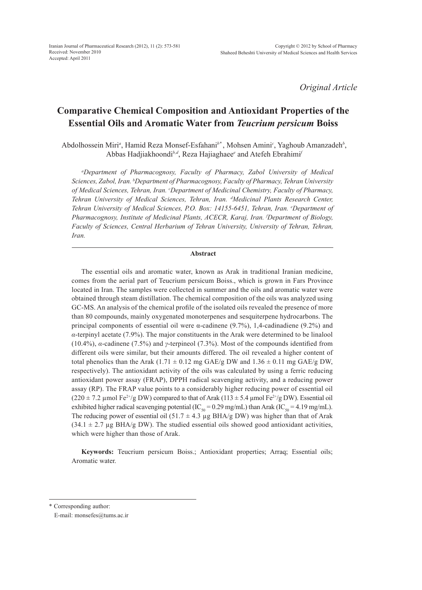*Original Article*

# **Comparative Chemical Composition and Antioxidant Properties of the Essential Oils and Aromatic Water from** *Teucrium persicum* **Boiss**

Abdolhossein Miri<sup>a</sup>, Hamid Reza Monsef-Esfahani<sup>b\*</sup>, Mohsen Amini<sup>c</sup>, Yaghoub Amanzadeh<sup>b</sup>, Abbas Hadjiakhoondi*b,d*, Reza Hajiaghaee*<sup>e</sup>* and Atefeh Ebrahimi*<sup>f</sup>*

*a Department of Pharmacognosy, Faculty of Pharmacy, Zabol University of Medical Sciences, Zabol, Iran. b Department of Pharmacognosy, Faculty of Pharmacy, Tehran University of Medical Sciences, Tehran, Iran. c Department of Medicinal Chemistry, Faculty of Pharmacy, Tehran University of Medical Sciences, Tehran, Iran. d Medicinal Plants Research Center, Tehran University of Medical Sciences, P.O. Box: 14155-6451, Tehran, Iran. e Department of Pharmacognosy, Institute of Medicinal Plants, ACECR, Karaj, Iran. f Department of Biology,*  Faculty of Sciences, Central Herbarium of Tehran University, University of Tehran, Tehran, *Iran.*

#### **Abstract**

The essential oils and aromatic water, known as Arak in traditional Iranian medicine, comes from the aerial part of Teucrium persicum Boiss., which is grown in Fars Province located in Iran. The samples were collected in summer and the oils and aromatic water were obtained through steam distillation. The chemical composition of the oils was analyzed using GC-MS. An analysis of the chemical profile of the isolated oils revealed the presence of more than 80 compounds, mainly oxygenated monoterpenes and sesquiterpene hydrocarbons. The principal components of essential oil were α-cadinene (9.7%), 1,4-cadinadiene (9.2%) and *α*-terpinyl acetate (7.9%). The major constituents in the Arak were determined to be linalool (10.4%), *α*-cadinene (7.5%) and *γ*-terpineol (7.3%). Most of the compounds identified from different oils were similar, but their amounts differed. The oil revealed a higher content of total phenolics than the Arak (1.71  $\pm$  0.12 mg GAE/g DW and 1.36  $\pm$  0.11 mg GAE/g DW, respectively). The antioxidant activity of the oils was calculated by using a ferric reducing antioxidant power assay (FRAP), DPPH radical scavenging activity, and a reducing power assay (RP). The FRAP value points to a considerably higher reducing power of essential oil  $(220 \pm 7.2 \mu \text{mol Fe}^{2+}/g \text{DW})$  compared to that of Arak  $(113 \pm 5.4 \mu \text{mol Fe}^{2+}/g \text{DW})$ . Essential oil exhibited higher radical scavenging potential (IC<sub>50</sub> = 0.29 mg/mL) than Arak (IC<sub>50</sub> = 4.19 mg/mL). The reducing power of essential oil (51.7  $\pm$  4.3 µg BHA/g DW) was higher than that of Arak  $(34.1 \pm 2.7 \,\mu g \,\text{BHA/g DW})$ . The studied essential oils showed good antioxidant activities, which were higher than those of Arak.

**Keywords:** Teucrium persicum Boiss.; Antioxidant properties; Arraq; Essential oils; Aromatic water.

\* Corresponding author:

E-mail: monsefes@tums.ac.ir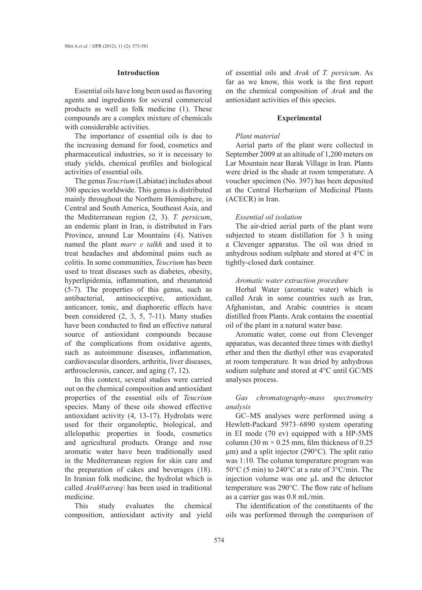#### **Introduction**

Essential oils have long been used as flavoring agents and ingredients for several commercial products as well as folk medicine (1). These compounds are a complex mixture of chemicals with considerable activities.

The importance of essential oils is due to the increasing demand for food, cosmetics and pharmaceutical industries, so it is necessary to study yields, chemical profiles and biological activities of essential oils.

The genus *Teucrium* (Labiatae) includes about 300 species worldwide. This genus is distributed mainly throughout the Northern Hemisphere, in Central and South America, Southeast Asia, and the Mediterranean region (2, 3). *T. persicum*, an endemic plant in Iran, is distributed in Fars Province, around Lar Mountains (4). Natives named the plant *marv e talkh* and used it to treat headaches and abdominal pains such as colitis. In some communities, *Teucrium* has been used to treat diseases such as diabetes, obesity, hyperlipidemia, inflammation, and rheumatoid (5-7). The properties of this genus, such as antibacterial, antinociceptive, antioxidant, anticancer, tonic, and diaphoretic effects have been considered (2, 3, 5, 7-11). Many studies have been conducted to find an effective natural source of antioxidant compounds because of the complications from oxidative agents, such as autoimmune diseases, inflammation, cardiovascular disorders, arthritis, liver diseases, arthrosclerosis, cancer, and aging (7, 12).

In this context, several studies were carried out on the chemical composition and antioxidant properties of the essential oils of *Teucrium* species. Many of these oils showed effective antioxidant activity (4, 13-17). Hydrolats were used for their organoleptic, biological, and allelopathic properties in foods, cosmetics and agricultural products. Orange and rose aromatic water have been traditionally used in the Mediterranean region for skin care and the preparation of cakes and beverages (18). In Iranian folk medicine, the hydrolat which is called *Arak0\æræq\* has been used in traditional medicine.

This study evaluates the chemical composition, antioxidant activity and yield of essential oils and *Arak* of *T. persicum*. As far as we know, this work is the first report on the chemical composition of *Arak* and the antioxidant activities of this species.

#### **Experimental**

#### *Plant material*

Aerial parts of the plant were collected in September 2009 at an altitude of 1,200 meters on Lar Mountain near Barak Village in Iran. Plants were dried in the shade at room temperature. A voucher specimen (No. 397) has been deposited at the Central Herbarium of Medicinal Plants (ACECR) in Iran.

#### *Essential oil isolation*

The air-dried aerial parts of the plant were subjected to steam distillation for 3 h using a Clevenger apparatus. The oil was dried in anhydrous sodium sulphate and stored at 4°C in tightly-closed dark container.

#### *Aromatic water extraction procedure*

Herbal Water (aromatic water) which is called Arak in some countries such as Iran, Afghanistan, and Arabic countries is steam distilled from Plants. Arak contains the essential oil of the plant in a natural water base.

Aromatic water, come out from Clevenger apparatus, was decanted three times with diethyl ether and then the diethyl ether was evaporated at room temperature. It was dried by anhydrous sodium sulphate and stored at 4°C until GC/MS analyses process.

*Gas chromatography-mass spectrometry analysis*

GC–MS analyses were performed using a Hewlett-Packard 5973–6890 system operating in EI mode (70 ev) equipped with a HP-5MS column (30 m  $\times$  0.25 mm, film thickness of 0.25 μm) and a split injector (290°C). The split ratio was 1:10. The column temperature program was 50°C (5 min) to 240°C at a rate of 3°C/min. The injection volume was one µL and the detector temperature was 290°C. The flow rate of helium as a carrier gas was 0.8 mL/min.

The identification of the constituents of the oils was performed through the comparison of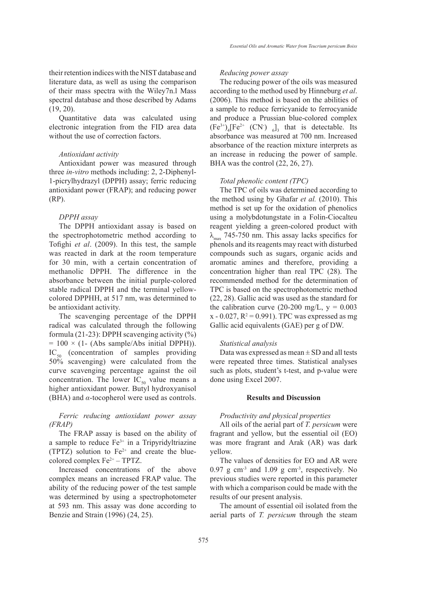their retention indices with the NIST database and literature data, as well as using the comparison of their mass spectra with the Wiley7n.l Mass spectral database and those described by Adams (19, 20).

Quantitative data was calculated using electronic integration from the FID area data without the use of correction factors.

#### *Antioxidant activity*

Antioxidant power was measured through three *in-vitro* methods including: 2, 2-Diphenyl-1-picrylhydrazyl (DPPH) assay; ferric reducing antioxidant power (FRAP); and reducing power (RP).

#### *DPPH assay*

The DPPH antioxidant assay is based on the spectrophotometric method according to Tofighi *et al*. (2009). In this test, the sample was reacted in dark at the room temperature for 30 min, with a certain concentration of methanolic DPPH. The difference in the absorbance between the initial purple-colored stable radical DPPH and the terminal yellowcolored DPPHH, at 517 nm, was determined to be antioxidant activity.

The scavenging percentage of the DPPH radical was calculated through the following formula (21-23): DPPH scavenging activity (%)  $= 100 \times (1 - (Abs sample/Abs initial DPPH)).$  $IC_{50}$  (concentration of samples providing 50% scavenging) were calculated from the curve scavenging percentage against the oil concentration. The lower  $IC_{50}$  value means a higher antioxidant power. Butyl hydroxyanisol (BHA) and *α*-tocopherol were used as controls.

# *Ferric reducing antioxidant power assay (FRAP)*

The FRAP assay is based on the ability of a sample to reduce Fe<sup>3+</sup> in a Tripyridyltriazine (TPTZ) solution to  $Fe<sup>2+</sup>$  and create the bluecolored complex  $Fe<sup>2+</sup> - TPTZ$ .

Increased concentrations of the above complex means an increased FRAP value. The ability of the reducing power of the test sample was determined by using a spectrophotometer at 593 nm. This assay was done according to Benzie and Strain (1996) (24, 25).

#### *Reducing power assay*

The reducing power of the oils was measured according to the method used by Hinneburg *et al*. (2006). This method is based on the abilities of a sample to reduce ferricyanide to ferrocyanide and produce a Prussian blue-colored complex  $(Fe^{3+})_4[Fe^{2+} (CN)_{6}]_3$  that is detectable. Its absorbance was measured at 700 nm. Increased absorbance of the reaction mixture interprets as an increase in reducing the power of sample. BHA was the control (22, 26, 27).

#### *Total phenolic content (TPC)*

The TPC of oils was determined according to the method using by Ghafar *et al.* (2010). This method is set up for the oxidation of phenolics using a molybdotungstate in a Folin-Ciocalteu reagent yielding a green-colored product with  $\lambda_{\text{max}}$  745-750 nm. This assay lacks specifics for phenols and its reagents may react with disturbed compounds such as sugars, organic acids and aromatic amines and therefore, providing a concentration higher than real TPC (28). The recommended method for the determination of TPC is based on the spectrophotometric method (22, 28). Gallic acid was used as the standard for the calibration curve (20-200 mg/L,  $y = 0.003$  $x - 0.027$ ,  $R^2 = 0.991$ ). TPC was expressed as mg Gallic acid equivalents (GAE) per g of DW.

#### *Statistical analysis*

Data was expressed as mean  $\pm$  SD and all tests were repeated three times. Statistical analyses such as plots, student's t-test, and p-value were done using Excel 2007.

#### **Results and Discussion**

## *Productivity and physical properties*

All oils of the aerial part of *T. persicum* were fragrant and yellow, but the essential oil (EO) was more fragrant and Arak (AR) was dark yellow.

The values of densities for EO and AR were 0.97 g cm-3 and 1.09 g cm-3, respectively*.* No previous studies were reported in this parameter with which a comparison could be made with the results of our present analysis.

The amount of essential oil isolated from the aerial parts of *T. persicum* through the steam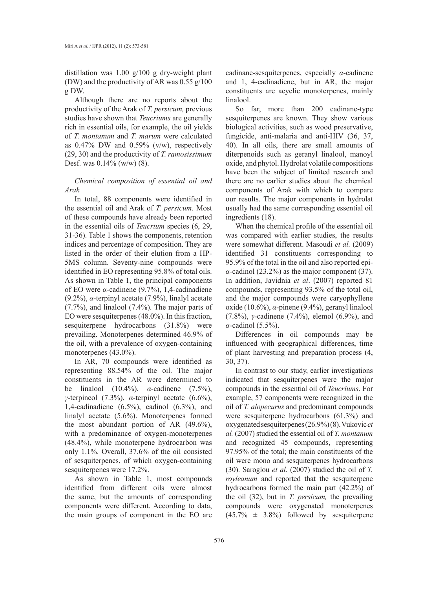distillation was 1.00 g/100 g dry-weight plant (DW) and the productivity of AR was 0.55 g/100 g DW.

Although there are no reports about the productivity of the Arak of *T. persicum,* previous studies have shown that *Teucriums* are generally rich in essential oils, for example, the oil yields of *T. montanum* and *T. marum* were calculated as  $0.47\%$  DW and  $0.59\%$  (v/w), respectively (29, 30) and the productivity of *T. ramosissimum*  Desf. was  $0.14\%$  (w/w) (8).

# *Chemical composition of essential oil and Arak*

In total, 88 components were identified in the essential oil and Arak of *T. persicum.* Most of these compounds have already been reported in the essential oils of *Teucrium* species (6, 29, 31-36). Table 1 shows the components, retention indices and percentage of composition. They are listed in the order of their elution from a HP-5MS column. Seventy-nine compounds were identified in EO representing 95.8% of total oils. As shown in Table 1, the principal components of EO were *α*-cadinene (9.7%), 1,4-cadinadiene (9.2%), *α*-terpinyl acetate (7.9%), linalyl acetate (7.7%), and linalool (7.4%). The major parts of EO were sesquiterpenes (48.0%). In this fraction, sesquiterpene hydrocarbons (31.8%) were prevailing. Monoterpenes determined 46.9% of the oil, with a prevalence of oxygen-containing monoterpenes (43.0%).

In AR, 70 compounds were identified as representing 88.54% of the oil. The major constituents in the AR were determined to be linalool (10.4%), *α*-cadinene (7.5%), *γ*-terpineol (7.3%), *α*-terpinyl acetate (6.6%), 1,4-cadinadiene (6.5%), cadinol (6.3%), and linalyl acetate (5.6%). Monoterpenes formed the most abundant portion of AR (49.6%), with a predominance of oxygen-monoterpenes (48.4%), while monoterpene hydrocarbon was only 1.1%. Overall, 37.6% of the oil consisted of sesquiterpenes, of which oxygen-containing sesquiterpenes were 17.2%.

As shown in Table 1, most compounds identified from different oils were almost the same, but the amounts of corresponding components were different. According to data, the main groups of component in the EO are

cadinane-sesquiterpenes, especially *α*-cadinene and 1, 4-cadinadiene, but in AR, the major constituents are acyclic monoterpenes, mainly linalool.

So far, more than 200 cadinane-type sesquiterpenes are known. They show various biological activities, such as wood preservative, fungicide, anti-malaria and anti-HIV (36, 37, 40). In all oils, there are small amounts of diterpenoids such as geranyl linalool, manoyl oxide, and phytol.Hydrolat volatile compositions have been the subject of limited research and there are no earlier studies about the chemical components of Arak with which to compare our results. The major components in hydrolat usually had the same corresponding essential oil ingredients (18).

When the chemical profile of the essential oil was compared with earlier studies, the results were somewhat different. Masoudi *et al.* (2009) identified 31 constituents corresponding to 95.9% of the total in the oil and also reported epi*α*-cadinol (23.2%) as the major component (37). In addition, Javidnia *et al*. (2007) reported 81 compounds, representing 93.5% of the total oil, and the major compounds were caryophyllene oxide (10.6%), *α*-pinene (9.4%), geranyl linalool (7.8%), *γ*-cadinene (7.4%), elemol (6.9%), and *α*-cadinol (5.5%).

Differences in oil compounds may be influenced with geographical differences, time of plant harvesting and preparation process (4, 30, 37).

In contrast to our study, earlier investigations indicated that sesquiterpenes were the major compounds in the essential oil of *Teucriums*. For example, 57 components were recognized in the oil of *T. alopecurus* and predominant compounds were sesquiterpene hydrocarbons (61.3%) and oxygenated sesquiterpenes (26.9%) (8). Vukovic *et al.* (2007) studied the essential oil of *T. montanum* and recognized 45 compounds, representing 97.95% of the total; the main constituents of the oil were mono and sesquiterpenes hydrocarbons (30). Saroglou *et al*. (2007) studied the oil of *T. royleanum* and reported that the sesquiterpene hydrocarbons formed the main part (42.2%) of the oil (32), but in *T. persicum,* the prevailing compounds were oxygenated monoterpenes  $(45.7\% \pm 3.8\%)$  followed by sesquiterpene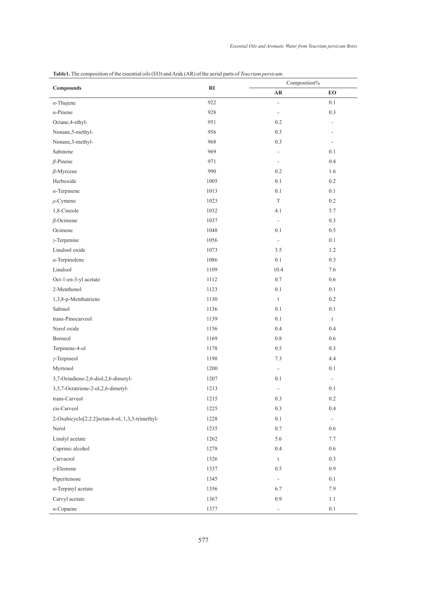| Compounds                                       | RI   | Composition%             |                          |
|-------------------------------------------------|------|--------------------------|--------------------------|
|                                                 |      | $\mathbf{A}\mathbf{R}$   | EO                       |
| $\alpha$ -Thujene                               | 922  | $\Box$                   | $0.1\,$                  |
| $\alpha$ -Pinene                                | 928  | $\overline{\phantom{a}}$ | $0.3\,$                  |
| Octane, 4-ethyl-                                | 951  | 0.2                      | $\overline{\phantom{a}}$ |
| Nonane, 5-methyl-                               | 956  | 0.3                      | $\overline{\phantom{m}}$ |
| Nonane, 3-methyl-                               | 968  | 0.3                      | $\overline{\phantom{a}}$ |
| Sabinene                                        | 969  | $\overline{\phantom{a}}$ | 0.1                      |
| $\beta$ -Pinene                                 | 971  | $\overline{\phantom{a}}$ | 0.4                      |
| $\beta$ -Myrcene                                | 990  | $0.2\,$                  | 1.6                      |
| Herboxide                                       | 1005 | 0.1                      | $0.2\,$                  |
| $\alpha$ -Terpinene                             | 1013 | 0.1                      | 0.1                      |
| $\rho$ -Cymene                                  | 1023 | $\mathcal T$             | $0.2\,$                  |
| 1,8-Cineole                                     | 1032 | 4.1                      | 5.7                      |
| $\beta$ -Ocimene                                | 1037 | $\Box$                   | 0.3                      |
| Ocimene                                         | 1048 | 0.1                      | $0.5\,$                  |
| $\gamma$ -Terpenine                             | 1056 | $\overline{\phantom{a}}$ | 0.1                      |
| Linalool oxide                                  | 1073 | $3.5$                    | 1.2                      |
| $\alpha$ -Terpinolene                           | 1086 | 0.1                      | 0.3                      |
| Linalool                                        | 1109 | 10.4                     | 7.6                      |
| Oct-1-en-3-yl acetate                           | 1112 | 0.7                      | $0.6\,$                  |
| 2-Menthenol                                     | 1123 | $0.1\,$                  | 0.1                      |
| 1,3,8-p-Menthatriene                            | 1130 | $\mathsf t$              | $0.2\,$                  |
| Sabinol                                         | 1136 | $0.1\,$                  | $0.1\,$                  |
| trans-Pinocarveol                               | 1139 | 0.1                      | $\mathfrak{t}$           |
| Nerol oxide                                     | 1156 | 0.4                      | 0.4                      |
| Borneol                                         | 1169 | $0.8\,$                  | 0.6                      |
| Terpinene-4-ol                                  | 1178 | 0.5                      | 0.3                      |
| $\gamma$ -Terpineol                             | 1198 | 7.3                      | 4.4                      |
| Myrtenol                                        | 1200 | $\overline{\phantom{a}}$ | $0.1\,$                  |
| 3,7-Octadiene-2,6-diol,2,6-dimetyl-             | 1207 | $0.1\,$                  | $\blacksquare$           |
| 3,5,7-Octatriene-2-ol,2,6-dimetyl-              | 1213 | $\overline{\phantom{a}}$ | $0.1\,$                  |
| trans-Carveol                                   | 1215 | 0.3                      | $0.2\,$                  |
| cis-Carveol                                     | 1225 | 0.3                      | $0.4\,$                  |
| 2-Oxabicyclo[2.2.2]octan-6-ol, 1,3,3-trimethyl- | 1228 | $0.1\,$                  | ÷                        |
| Nerol                                           | 1235 | $0.7\,$                  | 0.6                      |
| Linalyl acetate                                 | 1262 | 5.6                      | 7.7                      |
| Caprinic alcohol                                | 1278 | 0.4                      | $0.6\,$                  |
| Carvacrol                                       | 1326 | $\mathsf t$              | 0.3                      |
| $\gamma$ -Elemene                               | 1337 | 0.5                      | 0.9                      |
| Piperitenone                                    | 1345 | $\overline{\phantom{a}}$ | $0.1\,$                  |
| $\alpha$ -Terpinyl acetate                      | 1356 | 6.7                      | 7.9                      |
| Carvyl acetate                                  | 1367 | 0.9                      | 1.1                      |
| $\alpha$ -Copaene                               | 1377 | $\overline{\phantom{a}}$ | $0.1\,$                  |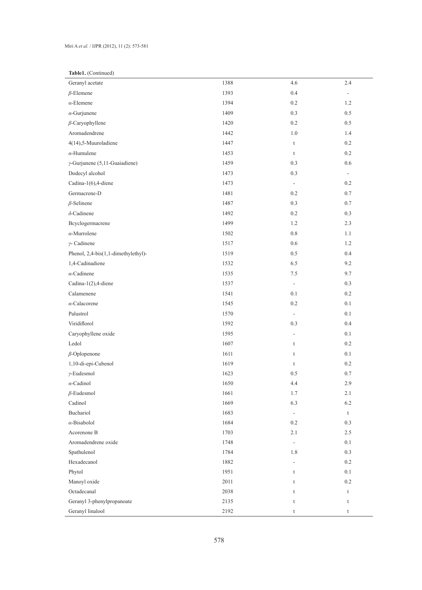## Miri A *et al.* / IJPR (2012), 11 (2): 573-581

# **Table1.** (Continued)

| Geranyl acetate                       | 1388 | 4.6                      | 2.4         |
|---------------------------------------|------|--------------------------|-------------|
| $\beta$ -Elemene                      | 1393 | 0.4                      | ÷           |
| $\alpha$ -Elemene                     | 1394 | 0.2                      | 1.2         |
| $\alpha$ -Gurjunene                   | 1409 | 0.3                      | 0.5         |
| $\beta$ -Caryophyllene                | 1420 | $0.2\,$                  | 0.5         |
| Aromadendrene                         | 1442 | 1.0                      | 1.4         |
| 4(14),5-Muuroladiene                  | 1447 | $\mathsf t$              | 0.2         |
| $\alpha$ -Humulene                    | 1453 | t                        | 0.2         |
| $\gamma$ -Gurjunene (5,11-Guaiadiene) | 1459 | $0.3\,$                  | 0.6         |
| Dodecyl alcohol                       | 1473 | $0.3\,$                  | $\sim$      |
| Cadina-1(6),4-diene                   | 1473 | $\overline{\phantom{a}}$ | 0.2         |
| Germacrene-D                          | 1481 | 0.2                      | $0.7\,$     |
| $\beta$ -Selinene                     | 1487 | 0.3                      | 0.7         |
| $\delta$ -Cadinene                    | 1492 | $0.2\,$                  | 0.3         |
| Bcyclogermacrene                      | 1499 | 1.2                      | 2.3         |
| $\alpha$ -Murrolene                   | 1502 | $0.8\,$                  | 1.1         |
| $\gamma$ - Cadinene                   | 1517 | 0.6                      | 1.2         |
| Phenol, 2,4-bis(1,1-dimethylethyl)-   | 1519 | 0.5                      | 0.4         |
| 1,4-Cadinadiene                       | 1532 | 6.5                      | 9.2         |
| $\alpha$ -Cadinene                    | 1535 | 7.5                      | 9.7         |
| Cadina-1(2),4-diene                   | 1537 | $\blacksquare$           | 0.3         |
| Calamenene                            | 1541 | 0.1                      | 0.2         |
| $\alpha$ -Calacorene                  | 1545 | $0.2\,$                  | 0.1         |
| Palustrol                             | 1570 | $\Box$                   | 0.1         |
| Viridiflorol                          | 1592 | 0.3                      | 0.4         |
| Caryophyllene oxide                   | 1595 | $\blacksquare$           | 0.1         |
| Ledol                                 | 1607 | $\mathsf t$              | 0.2         |
| $\beta$ -Oplopenone                   | 1611 | t                        | 0.1         |
| 1,10-di-epi-Cubenol                   | 1619 | t                        | 0.2         |
| $\gamma$ -Eudesmol                    | 1623 | 0.5                      | $0.7\,$     |
| $\alpha$ -Cadinol                     | 1650 | 4.4                      | 2.9         |
| $\beta$ -Eudesmol                     | 1661 | 1.7                      | 2.1         |
| Cadinol                               | 1669 | 6.3                      | 6.2         |
| Buchariol                             | 1683 | $\overline{\phantom{a}}$ | t           |
| $\alpha$ -Bisabolol                   | 1684 | 0.2                      | 0.3         |
| Acorenone B                           | 1703 | 2.1                      | 2.5         |
| Aromadendrene oxide                   | 1748 | $\overline{\phantom{a}}$ | 0.1         |
| Spathulenol                           | 1784 | 1.8                      | 0.3         |
| Hexadecanol                           | 1882 | $\overline{\phantom{a}}$ | 0.2         |
| Phytol                                | 1951 | t                        | 0.1         |
| Manoyl oxide                          | 2011 | t                        | 0.2         |
| Octadecanal                           | 2038 | t                        | $\mathsf t$ |
| Geranyl 3-phenylpropanoate            | 2135 | t                        | t           |
| Geranyl linalool                      | 2192 | t                        | t           |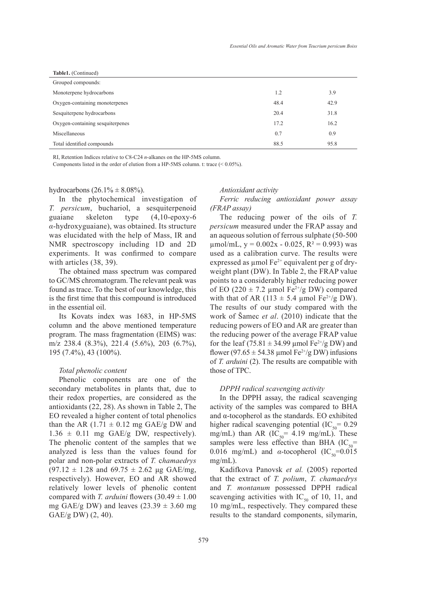| Table1. (Continued)              |      |      |
|----------------------------------|------|------|
| Grouped compounds:               |      |      |
| Monoterpene hydrocarbons         | 1.2  | 3.9  |
| Oxygen-containing monoterpenes   | 48.4 | 42.9 |
| Sesquiterpene hydrocarbons       | 20.4 | 31.8 |
| Oxygen-containing sesquiterpenes | 17.2 | 16.2 |
| Miscellaneous                    | 0.7  | 0.9  |
| Total identified compounds       | 88.5 | 95.8 |

RI, Retention Indices relative to C8-C24 *n*-alkanes on the HP-5MS column.

Components listed in the order of elution from a HP-5MS column. t: trace (< 0.05%).

hydrocarbons  $(26.1\% \pm 8.08\%)$ .

In the phytochemical investigation of *T. persicum*, buchariol, a sesquiterpenoid guaiane skeleton type (4,10-epoxy-6 *α*-hydroxyguaiane), was obtained. Its structure was elucidated with the help of Mass, IR and NMR spectroscopy including 1D and 2D experiments. It was confirmed to compare with articles (38, 39).

The obtained mass spectrum was compared to GC/MS chromatogram. The relevant peak was found as trace. To the best of our knowledge, this is the first time that this compound is introduced in the essential oil.

Its Kovats index was 1683, in HP-5MS column and the above mentioned temperature program. The mass fragmentation (EIMS) was: m/z 238.4 (8.3%), 221.4 (5.6%), 203 (6.7%), 195 (7.4%), 43 (100%).

#### *Total phenolic content*

Phenolic components are one of the secondary metabolites in plants that, due to their redox properties, are considered as the antioxidants (22, 28). As shown in Table 2, The EO revealed a higher content of total phenolics than the AR  $(1.71 \pm 0.12 \text{ mg} \text{ GAE/g DW and})$  $1.36 \pm 0.11$  mg GAE/g DW, respectively). The phenolic content of the samples that we analyzed is less than the values found for polar and non-polar extracts of *T.* c*hamaedrys*  $(97.12 \pm 1.28$  and  $69.75 \pm 2.62$  µg GAE/mg, respectively). However, EO and AR showed relatively lower levels of phenolic content compared with *T. arduini* flowers  $(30.49 \pm 1.00)$ mg GAE/g DW) and leaves  $(23.39 \pm 3.60 \text{ mg})$ GAE/g DW) (2, 40).

#### *Antioxidant activity*

*Ferric reducing antioxidant power assay (FRAP assay)*

The reducing power of the oils of *T. persicum* measured under the FRAP assay and an aqueous solution of ferrous sulphate (50-500  $\mu$ mol/mL, y = 0.002x - 0.025, R<sup>2</sup> = 0.993) was used as a calibration curve. The results were expressed as  $\mu$ mol Fe<sup>2+</sup> equivalent per g of dryweight plant (DW). In Table 2, the FRAP value points to a considerably higher reducing power of EO (220  $\pm$  7.2 µmol Fe<sup>2+</sup>/g DW) compared with that of AR (113  $\pm$  5.4 µmol Fe<sup>2+</sup>/g DW). The results of our study compared with the work of Šamec *et al*. (2010) indicate that the reducing powers of EO and AR are greater than the reducing power of the average FRAP value for the leaf (75.81  $\pm$  34.99 µmol Fe<sup>2+</sup>/g DW) and flower (97.65  $\pm$  54.38 µmol Fe<sup>2+</sup>/g DW) infusions of *T. arduini* (2). The results are compatible with those of TPC.

#### *DPPH radical scavenging activity*

In the DPPH assay, the radical scavenging activity of the samples was compared to BHA and α-tocopherol as the standards. EO exhibited higher radical scavenging potential  $(IC_{50} = 0.29)$ mg/mL) than AR  $(IC_{50} = 4.19$  mg/mL). These samples were less effective than BHA  $(IC_{50}$ = 0.016 mg/mL) and  $\alpha$ -tocopherol (IC<sub>50</sub>=0.015 mg/mL).

Kadifkova Panovsk *et al.* (2005) reported that the extract of *T. polium*, *T. chamaedrys* and *T. montanum* possessed DPPH radical scavenging activities with  $IC_{50}$  of 10, 11, and 10 mg/mL, respectively. They compared these results to the standard components, silymarin,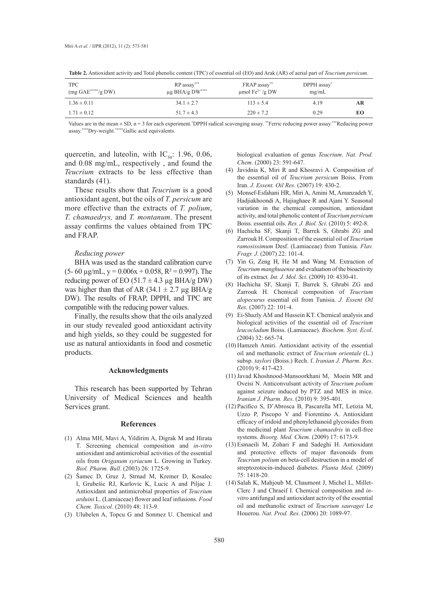| <b>TPC</b><br>$(mg \text{ GAE}$ *****/g DW) | $RP$ assay***<br>$\mu$ g BHA/g DW**** | FRAP assay**<br>$\mu$ mol Fe <sup>2+</sup> /g DW | DPPH assay"<br>mg/mL |    |
|---------------------------------------------|---------------------------------------|--------------------------------------------------|----------------------|----|
| $1.36 \pm 0.11$                             | $34.1 \pm 2.7$                        | $113 \pm 5.4$                                    | 4.19                 | AR |
| $1.71 \pm 0.12$                             | $51.7 \pm 4.3$                        | $220 \pm 7.2$                                    | 0.29                 | EО |

**Table 2.** Antioxidant activity and Total phenolic content (TPC) of essential oil (EO) and Arak (AR) of aerial part of *Teucrium persicum.*

Values are in the mean  $\pm$  SD,  $n = 3$  for each experiment.\*DPPH radical scavenging assay.\*\*Ferric reducing power assay.\*\*\*Reducing power assay.\*\*\*\*Dry-weight.\*\*\*\*\*Gallic acid equivalents.

quercetin, and luteolin, with  $IC_{50}$ : 1.96, 0.06, and 0.08 mg/mL, respectively , and found the *Teucrium* extracts to be less effective than standards (41).

These results show that *Teucrium* is a good antioxidant agent, but the oils of *T. persicum* are more effective than the extracts of *T. polium*, *T. chamaedrys,* and *T. montanum*. The present assay confirms the values obtained from TPC and FRAP.

#### *Reducing power*

BHA was used as the standard calibration curve  $(5-60 \text{ µg/mL}, y = 0.006x + 0.058, R^2 = 0.997)$ . The reducing power of EO (51.7  $\pm$  4.3 µg BHA/g DW) was higher than that of AR (34.1  $\pm$  2.7 µg BHA/g DW). The results of FRAP, DPPH, and TPC are compatible with the reducing power values.

Finally, the results show that the oils analyzed in our study revealed good antioxidant activity and high yields, so they could be suggested for use as natural antioxidants in food and cosmetic products.

#### **Acknowledgments**

This research has been supported by Tehran University of Medical Sciences and health Services grant.

#### **References**

- Alma MH, Mavi A, Yildirim A, Digrak M and Hirata (1) T. Screening chemical composition and *in-vitro* antioxidant and antimicrobial activities of the essential oils from *Origanum syriacum* L. Growing in Turkey. *Biol. Pharm. Bull*. (2003) 26: 1725-9.
- (2) Samec D, Gruz J, Strnad M, Kremer D, Kosalec I, Grubešic RJ, Karlovic K, Lucic A and Piljac J. Antioxidant and antimicrobial properties of *Teucrium arduini* L. (Lamiaceae) flower and leaf infusions. *Food Chem. Toxicol*. (2010) 48: 113-9.
- Ulubelen A, Topcu G and Sonmez U. Chemical and (3)

biological evaluation of genus *Teucrium*. *Nat. Prod. Chem*. (2000) 23: 591-647.

- (4) Javidnia K, Miri R and Khosravi A. Composition of the essential oil of *Teucrium persicum* Boiss. From Iran. *J. Essent. Oil Res*. (2007) 19: 430-2.
- Monsef-Esfahani HR, Miri A, Amini M, Amanzadeh Y, (5) Hadjiakhoondi A, Hajiaghaee R and Ajani Y. Seasonal variation in the chemical composition, antioxidant activity, and total phenolic content of *Teucrium persicum* Boiss. essential oils. *Res. J. Biol. Sci*. (2010) 5: 492-8.
- Hachicha SF, Skanji T, Barrek S, Ghrabi ZG and (6) Zarrouk H. Composition of the essential oil of *Teucrium ramosissimum* Desf. (Lamiaceae) from Tunisia. *Flav. Fragr. J*. (2007) 22: 101-4.
- (7) Yin G, Zeng H, He M and Wang M. Extraction of *Teucrium manghuaense* and evaluation of the bioactivity of its extract. *Int. J. Mol. Sci*. (2009) 10: 4330-41.
- Hachicha SF, Skanji T, Barrek S, Ghrabi ZG and (8) Zarrouk H. Chemical composition of *Teucrium alopecurus* essential oil from Tunisia. *J. Essent Oil Res*. (2007) 22: 101-4.
- Ei-Shazly AM and Hussein KT. Chemical analysis and (9) biological activities of the essential oil of *Teucrium leucocladum* Boiss. (Lamiaceae). *Biochem. Syst. Ecol*. (2004) 32: 665-74.
- (10) Hamzeh Amiri. Antioxidant activity of the essential oil and methanolic extract of *Teucrium orientale* (L.) subsp. *taylori* (Boiss.) Rech. f. *Iranian J. Pharm. Res*. (2010) 9: 417-423.
- (11) Javad Khoshnood-Mansoorkhani M, Moein MR and Oveisi N. Anticonvulsant activity of *Teucrium polium* against seizure induced by PTZ and MES in mice. *Iranian J. Pharm. Res*. (2010) 9: 395-401.
- Pacifico S, D'Abrosca B, Pascarella MT, Letizia M, (12) Uzzo P, Piscopo V and Fiorentino A. Antioxidant efficacy of iridoid and phenylethanoid glycosides from the medicinal plant *Teucrium chamaedris* in cell-free systems. *Bioorg. Med. Chem.* (2009) 17: 6173-9.
- Esmaeili M, Zohari F and Sadeghi H. Antioxidant (13) and protective effects of major flavonoids from *Teucrium polium* on beta-cell destruction in a model of streptozotocin-induced diabetes. *Planta Med*. (2009) 75: 1418-20.
- (14) Salah K, Mahjoub M, Chaumont J, Michel L, Millet-Clerc J and Chraeif I. Chemical composition and *invitro* antifungal and antioxidant activity of the essential oil and methanolic extract of *Teucrium sauvagei* Le Houerou. *Nat. Prod. Res*. (2006) 20: 1089-97.